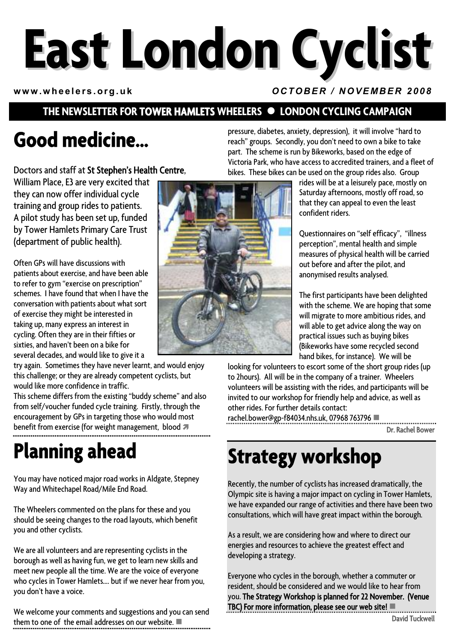# **East London Cyclist**

#### **www.wheelers.org.uk** *OCTOBER / NOVEMBER 2008*

### **THE NEWSLETTER FOR TOWER HAMLETS WHEELERS**  $\bullet$  **LONDON CYCLING CAMPAIGN**

# **Good medicine…**

Doctors and staff at St Stephen's Health Centre,

William Place, E3 are very excited that they can now offer individual cycle training and group rides to patients. A pilot study has been set up, funded by Tower Hamlets Primary Care Trust (department of public health).

Often GPs will have discussions with patients about exercise, and have been able to refer to gym "exercise on prescription" schemes. I have found that when I have the conversation with patients about what sort of exercise they might be interested in taking up, many express an interest in cycling. Often they are in their fifties or sixties, and haven't been on a bike for several decades, and would like to give it a

try again. Sometimes they have never learnt, and would enjoy this challenge; or they are already competent cyclists, but would like more confidence in traffic.

This scheme differs from the existing "buddy scheme" and also from self/voucher funded cycle training. Firstly, through the encouragement by GPs in targeting those who would most benefit from exercise (for weight management, blood  $\blacksquare$ 

### **Planning ahead**

You may have noticed major road works in Aldgate, Stepney Way and Whitechapel Road/Mile End Road.

The Wheelers commented on the plans for these and you should be seeing changes to the road layouts, which benefit you and other cyclists.

We are all volunteers and are representing cyclists in the borough as well as having fun, we get to learn new skills and meet new people all the time. We are the voice of everyone who cycles in Tower Hamlets…. but if we never hear from you, you don't have a voice.

We welcome your comments and suggestions and you can send them to one of the email addresses on our website.



pressure, diabetes, anxiety, depression), it will involve "hard to reach" groups. Secondly, you don't need to own a bike to take part. The scheme is run by Bikeworks, based on the edge of Victoria Park, who have access to accredited trainers, and a fleet of bikes. These bikes can be used on the group rides also. Group

rides will be at a leisurely pace, mostly on Saturday afternoons, mostly off road, so that they can appeal to even the least confident riders.

Questionnaires on "self efficacy", "illness perception", mental health and simple measures of physical health will be carried out before and after the pilot, and anonymised results analysed.

The first participants have been delighted with the scheme. We are hoping that some will migrate to more ambitious rides, and will able to get advice along the way on practical issues such as buying bikes (Bikeworks have some recycled second hand bikes, for instance). We will be

looking for volunteers to escort some of the short group rides (up to 2hours). All will be in the company of a trainer. Wheelers volunteers will be assisting with the rides, and participants will be invited to our workshop for friendly help and advice, as well as other rides. For further details contact:

rachel.bower@gp-f84034.nhs.uk, 07968 763796

Dr. Rachel Bower

### **Strategy workshop**

Recently, the number of cyclists has increased dramatically, the Olympic site is having a major impact on cycling in Tower Hamlets, we have expanded our range of activities and there have been two consultations, which will have great impact within the borough.

As a result, we are considering how and where to direct our energies and resources to achieve the greatest effect and developing a strategy.

Everyone who cycles in the borough, whether a commuter or resident, should be considered and we would like to hear from you. The Strategy Workshop is planned for 22 November. (Venue TBC) For more information, please see our web site!

David Tuckwell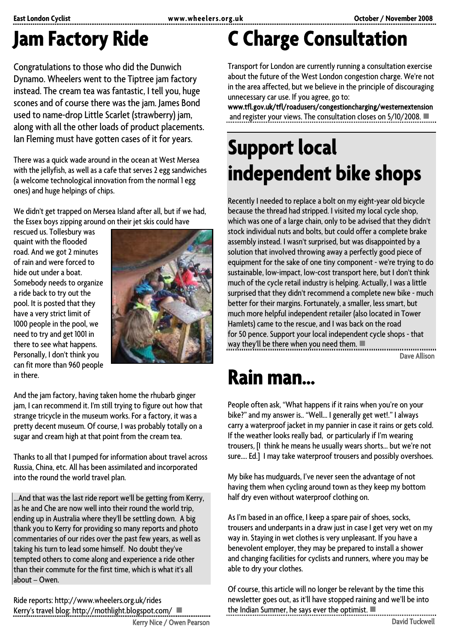## **Jam Factory Ride**

Congratulations to those who did the Dunwich Dynamo. Wheelers went to the Tiptree jam factory instead. The cream tea was fantastic, I tell you, huge scones and of course there was the jam. James Bond used to name-drop Little Scarlet (strawberry) jam, along with all the other loads of product placements. Ian Fleming must have gotten cases of it for years.

There was a quick wade around in the ocean at West Mersea with the jellyfish, as well as a cafe that serves 2 egg sandwiches (a welcome technological innovation from the normal 1 egg ones) and huge helpings of chips.

We didn't get trapped on Mersea Island after all, but if we had, the Essex boys zipping around on their jet skis could have

rescued us. Tollesbury was quaint with the flooded road. And we got 2 minutes of rain and were forced to hide out under a boat. Somebody needs to organize a ride back to try out the pool. It is posted that they have a very strict limit of 1000 people in the pool, we need to try and get 1001 in there to see what happens. Personally, I don't think you can fit more than 960 people in there.



And the jam factory, having taken home the rhubarb ginger jam, I can recommend it. I'm still trying to figure out how that strange tricycle in the museum works. For a factory, it was a pretty decent museum. Of course, I was probably totally on a sugar and cream high at that point from the cream tea.

Thanks to all that I pumped for information about travel across Russia, China, etc. All has been assimilated and incorporated into the round the world travel plan.

…And that was the last ride report we'll be getting from Kerry, as he and Che are now well into their round the world trip, ending up in Australia where they'll be settling down. A big thank you to Kerry for providing so many reports and photo commentaries of our rides over the past few years, as well as taking his turn to lead some himself. No doubt they've tempted others to come along and experience a ride other than their commute for the first time, which is what it's all about – Owen.

Ride reports: http://www.wheelers.org.uk/rides Kerry's travel blog: http://mothlight.blogspot.com/ Kerry Nice / Owen Pearson

# **C Charge Consultation**

Transport for London are currently running a consultation exercise about the future of the West London congestion charge. We're not in the area affected, but we believe in the principle of discouraging unnecessary car use. If you agree, go to:

www.tfl.gov.uk/tfl/roadusers/congestioncharging/westernextension and register your views. The consultation closes on 5/10/2008.

# **Support local independent bike shops**

Recently I needed to replace a bolt on my eight-year old bicycle because the thread had stripped. I visited my local cycle shop, which was one of a large chain, only to be advised that they didn't stock individual nuts and bolts, but could offer a complete brake assembly instead. I wasn't surprised, but was disappointed by a solution that involved throwing away a perfectly good piece of equipment for the sake of one tiny component - we're trying to do sustainable, low-impact, low-cost transport here, but I don't think much of the cycle retail industry is helping. Actually, I was a little surprised that they didn't recommend a complete new bike - much better for their margins. Fortunately, a smaller, less smart, but much more helpful independent retailer (also located in Tower Hamlets) came to the rescue, and I was back on the road for 50 pence. Support your local independent cycle shops - that way they'll be there when you need them.

Dave Allison

### **Rain man…**

People often ask, "What happens if it rains when you're on your bike?" and my answer is.. "Well… I generally get wet!." I always carry a waterproof jacket in my pannier in case it rains or gets cold. If the weather looks really bad, or particularly if I'm wearing trousers, [I think he means he usually wears shorts… but we're not sure…. Ed.] I may take waterproof trousers and possibly overshoes.

My bike has mudguards, I've never seen the advantage of not having them when cycling around town as they keep my bottom half dry even without waterproof clothing on.

As I'm based in an office, I keep a spare pair of shoes, socks, trousers and underpants in a draw just in case I get very wet on my way in. Staying in wet clothes is very unpleasant. If you have a benevolent employer, they may be prepared to install a shower and changing facilities for cyclists and runners, where you may be able to dry your clothes.

Of course, this article will no longer be relevant by the time this newsletter goes out, as it'll have stopped raining and we'll be into the Indian Summer, he says ever the optimist.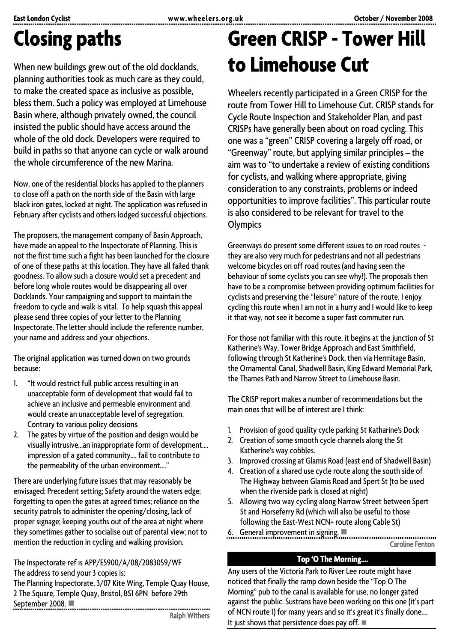# **Closing paths**

When new buildings grew out of the old docklands, planning authorities took as much care as they could, to make the created space as inclusive as possible, bless them. Such a policy was employed at Limehouse Basin where, although privately owned, the council insisted the public should have access around the whole of the old dock. Developers were required to build in paths so that anyone can cycle or walk around the whole circumference of the new Marina.

Now, one of the residential blocks has applied to the planners to close off a path on the north side of the Basin with large black iron gates, locked at night. The application was refused in February after cyclists and others lodged successful objections.

The proposers, the management company of Basin Approach, have made an appeal to the Inspectorate of Planning. This is not the first time such a fight has been launched for the closure of one of these paths at this location. They have all failed thank goodness. To allow such a closure would set a precedent and before long whole routes would be disappearing all over Docklands. Your campaigning and support to maintain the freedom to cycle and walk is vital. To help squash this appeal please send three copies of your letter to the Planning Inspectorate. The letter should include the reference number, your name and address and your objections.

The original application was turned down on two grounds because:

- 1. "It would restrict full public access resulting in an unacceptable form of development that would fail to achieve an inclusive and permeable environment and would create an unacceptable level of segregation. Contrary to various policy decisions.
- 2. The gates by virtue of the position and design would be visually intrusive…an inappropriate form of development…. impression of a gated community…. fail to contribute to the permeability of the urban environment…."

There are underlying future issues that may reasonably be envisaged: Precedent setting; Safety around the waters edge; forgetting to open the gates at agreed times; reliance on the security patrols to administer the opening/closing, lack of proper signage; keeping youths out of the area at night where they sometimes gather to socialise out of parental view; not to mention the reduction in cycling and walking provision.

The Inspectorate ref is APP/E5900/A/08/2083059/WF The address to send your 3 copies is: The Planning Inspectorate, 3/07 Kite Wing, Temple Quay House, 2 The Square, Temple Quay, Bristol, BS1 6PN before 29th September 2008. .................... Ralph Withers **Green CRISP - Tower Hill to Limehouse Cut** 

Wheelers recently participated in a Green CRISP for the route from Tower Hill to Limehouse Cut. CRISP stands for Cycle Route Inspection and Stakeholder Plan, and past CRISPs have generally been about on road cycling. This one was a "green" CRISP covering a largely off road, or "Greenway" route, but applying similar principles – the aim was to "to undertake a review of existing conditions for cyclists, and walking where appropriate, giving consideration to any constraints, problems or indeed opportunities to improve facilities". This particular route is also considered to be relevant for travel to the **Olympics** 

Greenways do present some different issues to on road routes they are also very much for pedestrians and not all pedestrians welcome bicycles on off road routes (and having seen the behaviour of some cyclists you can see why!). The proposals then have to be a compromise between providing optimum facilities for cyclists and preserving the "leisure" nature of the route. I enjoy cycling this route when I am not in a hurry and I would like to keep it that way, not see it become a super fast commuter run.

For those not familiar with this route, it begins at the junction of St Katherine's Way, Tower Bridge Approach and East Smithfield, following through St Katherine's Dock, then via Hermitage Basin, the Ornamental Canal, Shadwell Basin, King Edward Memorial Park, the Thames Path and Narrow Street to Limehouse Basin.

The CRISP report makes a number of recommendations but the main ones that will be of interest are I think:

- 1. Provision of good quality cycle parking St Katharine's Dock
- 2. Creation of some smooth cycle channels along the St Katherine's way cobbles.
- 3. Improved crossing at Glamis Road (east end of Shadwell Basin)
- 4. Creation of a shared use cycle route along the south side of The Highway between Glamis Road and Spert St (to be used when the riverside park is closed at night)
- 5. Allowing two way cycling along Narrow Street between Spert St and Horseferry Rd (which will also be useful to those following the East-West NCN+ route along Cable St)
- 6. General improvement in signing.

Caroline Fenton

#### **Top 'O The Morning….**

Any users of the Victoria Park to River Lee route might have noticed that finally the ramp down beside the "Top O The Morning" pub to the canal is available for use, no longer gated against the public. Sustrans have been working on this one (it's part of NCN route 1) for many years and so it's great it's finally done…. It just shows that persistence does pay off.  $\blacksquare$